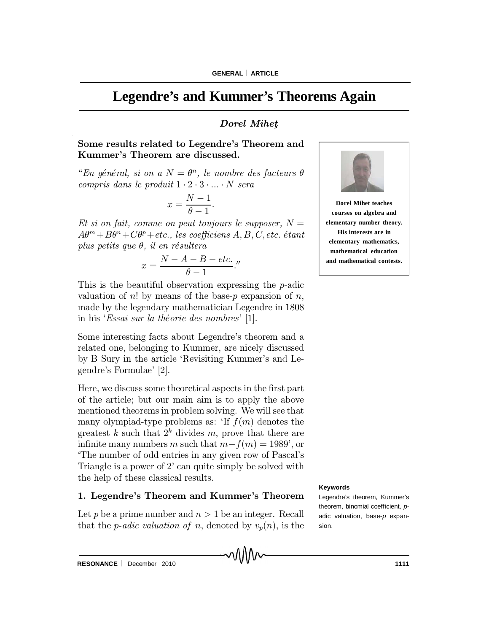# **Legendre's and Kummer's Theorems Again**

# Dorel Mihet

Some results related to Legendre's Theorem and Kummer's Theorem are discussed.

"En général, si on a  $N = \theta^n$ , le nombre des facteurs  $\theta$ compris dans le produit  $1 \cdot 2 \cdot 3 \cdot ... \cdot N$  sera

$$
x = \frac{N-1}{\theta - 1}.
$$

Et si on fait, comme on peut toujours le supposer,  $N =$  $A\theta^{m}+B\theta^{n}+C\theta^{p}+etc.,$  les coefficiens  $A, B, C, etc.$  étant plus petits que  $\theta$ , il en résultera

$$
x = \frac{N - A - B - etc.}{\theta - 1}.
$$
"

This is the beautiful observation expressing the p-adic valuation of n! by means of the base-p expansion of n, made by the legendary mathematician Legendre in 1808 in his 'Essai sur la théorie des nombres' [1].

Some interesting facts about Legendre's theorem and a related one, belonging to Kummer, are nicely discussed by B Sury in the article `Revisiting Kummer's and Legendre's Formulae' [2].

Here, we discuss some theoretical aspects in the first part of the article; but our main aim is to apply the above mentioned theorems in problem solving. We will see that many olympiad-type problems as: 'If  $f(m)$  denotes the greatest k such that  $2^k$  divides m, prove that there are infinite many numbers m such that  $m-f(m) = 1989'$ , or `The number of odd entries in any given row of Pascal's Triangle is a power of 2' can quite simply be solved with the help of these classical results.

#### 1. Legendre's Theorem and Kummer's Theorem

Let p be a prime number and  $n > 1$  be an integer. Recall that the *p*-*adic valuation of n*, denoted by  $v_p(n)$ , is the





**Dorel Mihet teaches courses on algebra and elementary number theory. His interests are in elementary mathematics, mathematical education and mathematical contests.**

#### **Keywords**

Legendre's theorem, Kummer's theorem, binomial coefficient, *p*adic valuation, base-*p* expansion.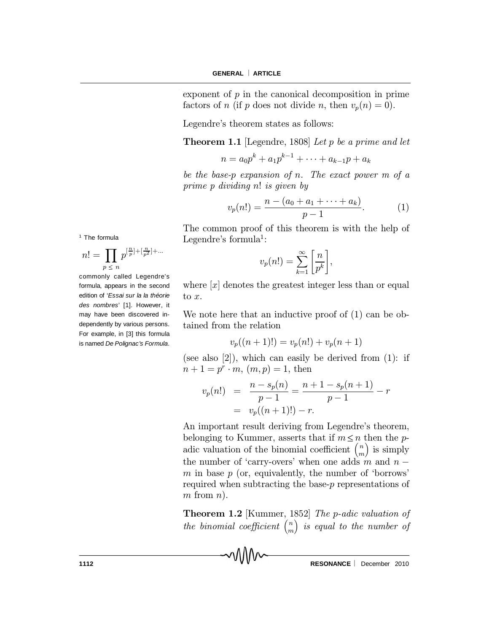exponent of  $p$  in the canonical decomposition in prime factors of n (if p does not divide n, then  $v_p(n) = 0$ ).

Legendre's theorem states as follows:

**Theorem 1.1** [Legendre, 1808] Let p be a prime and let

$$
n = a_0 p^k + a_1 p^{k-1} + \dots + a_{k-1} p + a_k
$$

be the base-p expansion of n. The exact power m of a prime p dividing n! is given by

$$
v_p(n!) = \frac{n - (a_0 + a_1 + \dots + a_k)}{p - 1}.
$$
 (1)

The common proof of this theorem is with the help of Legendre's formula<sup>1</sup>:

$$
v_p(n!) = \sum_{k=1}^{\infty} \left[ \frac{n}{p^k} \right],
$$

where  $[x]$  denotes the greatest integer less than or equal to x.

We note here that an inductive proof of (1) can be obtained from the relation

$$
v_p((n+1)!)=v_p(n!)+v_p(n+1)
$$

(see also  $[2]$ ), which can easily be derived from  $(1)$ : if  $n + 1 = p^r \cdot m, (m, p) = 1$ , then

$$
v_p(n!) = \frac{n - s_p(n)}{p - 1} = \frac{n + 1 - s_p(n + 1)}{p - 1} - r
$$
  
=  $v_p((n + 1)!) - r$ .

An important result deriving from Legendre's theorem, belonging to Kummer, asserts that if  $m \leq n$  then the padic valuation of the binomial coefficient  $\binom{n}{m}$ m ) is simply the number of 'carry-overs' when one adds m and  $n$ m in base  $p$  (or, equivalently, the number of 'borrows' required when subtracting the base-p representations of  $m$  from  $n$ ).

Theorem 1.2 [Kummer, 1852] The p-adic valuation of the binomial coefficient  $\binom{n}{m}$ m  $\big)$  is equal to the number of

MM

<sup>1</sup> The formula

$$
n! = \prod_{p \le n} p^{\left[\frac{n}{p}\right] + \left[\frac{n}{p^2}\right] + \dots}
$$

commonly called Legendre's formula, appears in the second edition of '*Essai sur la la théorie des nombres*' [1]. However, it may have been discovered independently by various persons. For example, in [3] this formula is named *De Polignac's Formula*.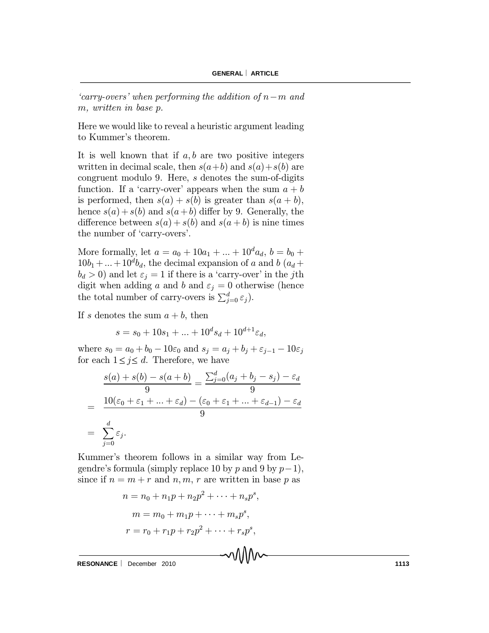$'carry-overs' when performing the addition of  $n-m$  and$ m, written in base p.

Here we would like to reveal a heuristic argument leading to Kummer's theorem.

It is well known that if  $a, b$  are two positive integers written in decimal scale, then  $s(a+b)$  and  $s(a)+s(b)$  are congruent modulo 9. Here, s denotes the sum-of-digits function. If a 'carry-over' appears when the sum  $a + b$ is performed, then  $s(a) + s(b)$  is greater than  $s(a + b)$ , hence  $s(a) + s(b)$  and  $s(a+b)$  differ by 9. Generally, the difference between  $s(a) + s(b)$  and  $s(a + b)$  is nine times the number of 'carry-overs'.

More formally, let  $a = a_0 + 10a_1 + ... + 10^d a_d$ ,  $b = b_0 +$  $10b_1 + \dots + 10^d b_d$ , the decimal expansion of a and b  $(a_d +$  $b_d > 0$ ) and let  $\varepsilon_j = 1$  if there is a 'carry-over' in the jth digit when adding a and b and  $\varepsilon_j = 0$  otherwise (hence the total number of carry-overs is  $\sum_{j=0}^{d} \varepsilon_j$ .

If s denotes the sum  $a + b$ , then

 $s = s_0 + 10s_1 + \dots + 10^d s_d + 10^{d+1} \varepsilon_d,$ 

where  $s_0 = a_0 + b_0 - 10\varepsilon_0$  and  $s_j = a_j + b_j + \varepsilon_{j-1} - 10\varepsilon_j$ for each  $1 \leq j \leq d$ . Therefore, we have

$$
\frac{s(a) + s(b) - s(a + b)}{9} = \frac{\sum_{j=0}^{d} (a_j + b_j - s_j) - \varepsilon_d}{9}
$$

$$
= \frac{10(\varepsilon_0 + \varepsilon_1 + \dots + \varepsilon_d) - (\varepsilon_0 + \varepsilon_1 + \dots + \varepsilon_{d-1}) - \varepsilon_d}{9}
$$

$$
= \sum_{j=0}^{d} \varepsilon_j.
$$

Kummer's theorem follows in a similar way from Legendre's formula (simply replace 10 by p and 9 by  $p-1$ ), since if  $n = m + r$  and  $n, m, r$  are written in base p as

$$
n = n_0 + n_1 p + n_2 p^2 + \dots + n_s p^s,
$$
  
\n
$$
m = m_0 + m_1 p + \dots + m_s p^s,
$$
  
\n
$$
r = r_0 + r_1 p + r_2 p^2 + \dots + r_s p^s,
$$

MMV

**RESONANCE** | December 2010 **1113**<br> **1113**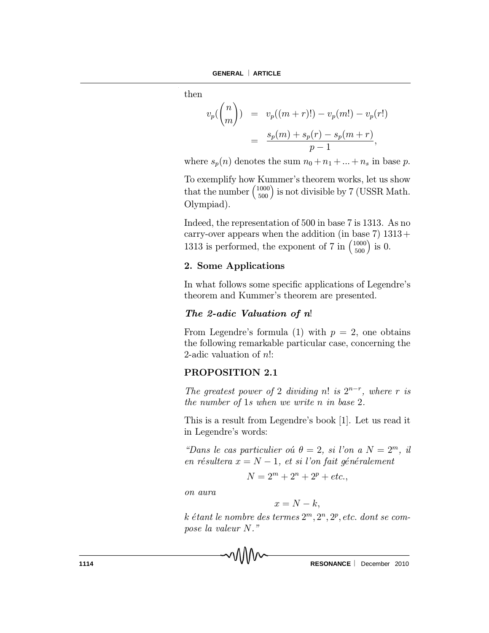then

$$
v_p(\binom{n}{m}) = v_p((m+r)!) - v_p(m!) - v_p(r!)
$$
  
= 
$$
\frac{s_p(m) + s_p(r) - s_p(m+r)}{p-1},
$$

where  $s_p(n)$  denotes the sum  $n_0 + n_1 + \ldots + n_s$  in base p.

To exemplify how Kummer's theorem works, let us show that the number  $\binom{1000}{500}$ 500 ) is not divisible by 7 (USSR Math. Olympiad).

Indeed, the representation of 500 in base 7 is 1313. As no carry-over appears when the addition (in base 7)  $1313+$ 1313 is performed, the exponent of 7 in  $\binom{1000}{500}$ 500  $\big)$  is 0.

#### 2. Some Applications

In what follows some specific applications of Legendre's theorem and Kummer's theorem are presented.

# The 2-adic Valuation of n!

From Legendre's formula (1) with  $p = 2$ , one obtains the following remarkable particular case, concerning the 2-adic valuation of n!:

#### PROPOSITION 2.1

The greatest power of 2 dividing n! is  $2^{n-r}$ , where r is the number of 1s when we write n in base 2.

This is a result from Legendre's book [1]. Let us read it in Legendre's words:

"Dans le cas particulier ou  $\theta = 2$ , si l'on a  $N = 2^m$ , il en résultera  $x = N - 1$ , et si l'on fait généralement

$$
N = 2^m + 2^n + 2^p + etc.,
$$

on aura

$$
x = N - k,
$$

 $k$  étant le nombre des termes  $2^m, 2^n, 2^p,$  etc. dont se compose la valeur N."

**1114 RESONANCE** December 2010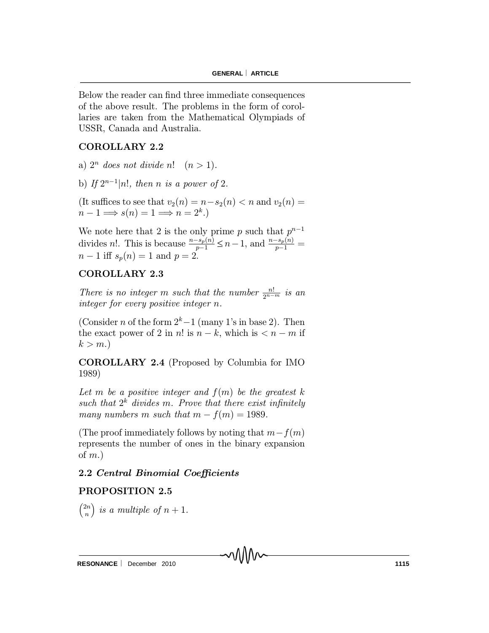Below the reader can find three immediate consequences of the above result. The problems in the form of corollaries are taken from the Mathematical Olympiads of USSR, Canada and Australia.

# COROLLARY 2.2

- a)  $2^n$  does not divide n!  $(n > 1)$ .
- b) If  $2^{n-1}|n|$ , then n is a power of 2.

(It suffices to see that  $v_2(n) = n - s_2(n) < n$  and  $v_2(n) =$  $n-1 \Longrightarrow s(n) = 1 \Longrightarrow n = 2<sup>k</sup>$ .

We note here that 2 is the only prime p such that  $p^{n-1}$ divides *n*!. This is because  $\frac{n-s_p(n)}{n-1}$  $\frac{n-s_p(n)}{p-1} \leq n-1$ , and  $\frac{n-s_p(n)}{p-1} =$  $n-1$  iff  $s_p(n) = 1$  and  $p = 2$ .  $\leq$ 

# COROLLARY 2.3

There is no integer m such that the number  $\frac{n!}{2^n-1}$  $\frac{n!}{2^{n-m}}$  is an integer for every positive integer n.

(Consider *n* of the form  $2<sup>k</sup>-1$  (many 1's in base 2). Then the exact power of 2 in n! is  $n - k$ , which is  $\lt n - m$  if  $k > m.$ 

COROLLARY 2.4 (Proposed by Columbia for IMO 1989)

Let m be a positive integer and  $f(m)$  be the greatest k such that  $2^k$  divides m. Prove that there exist infinitely many numbers m such that  $m - f(m) = 1989$ .

(The proof immediately follows by noting that  $m-f(m)$ ) represents the number of ones in the binary expansion of  $m$ .)

MMV

# 2.2 Central Binomial Coefficients

# PROPOSITION 2.5

 $\sqrt{2n}$ n ) is a multiple of  $n + 1$ .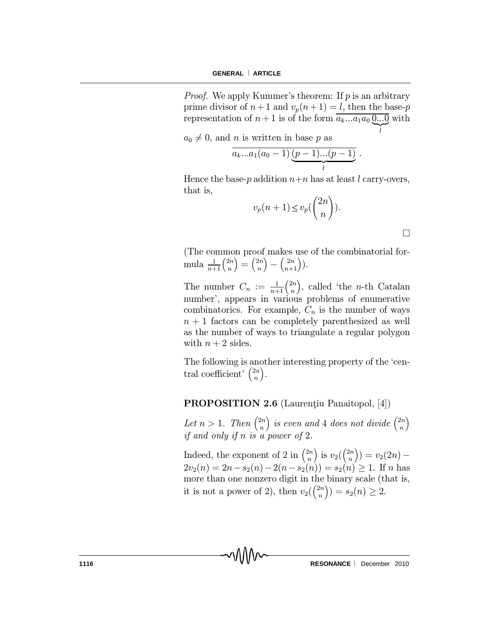*Proof.* We apply Kummer's theorem: If  $p$  is an arbitrary prime divisor of  $n+1$  and  $v_p(n+1) = l$ , then the base-p representation of  $n+1$  is of the form  $\overline{a_k...a_1a_0\overline{0...0}}$  with

 $a_0 \neq 0$ , and *n* is written in base *p* as

$$
\overline{a_k...a_1(a_0-1)\underbrace{(p-1)...(p-1)}_{l}}.
$$

Hence the base-p addition  $n+n$  has at least l carry-overs, that is,

$$
v_p(n+1) \le v_p(\binom{2n}{n}).
$$

¤

l

(The common proof makes use of the combinatorial formula  $\frac{1}{n+1}$  $n+1$  $\sqrt{2n}$ n  $=\binom{2n}{n}$ n ´  $\equiv$  $\left(2n\right)$  $n+1$  $)).$ 

The number  $C_n := \frac{1}{n+1}$  $n+1$  $\sqrt{2n}$ n ), called 'the  $n$ -th Catalan number', appears in various problems of enumerative combinatorics. For example,  $C_n$  is the number of ways  $n + 1$  factors can be completely parenthesized as well as the number of ways to triangulate a regular polygon with  $n + 2$  sides.

The following is another interesting property of the 'central coefficient'  $\binom{2n}{n}$ n ´ .

#### **PROPOSITION 2.6** (Laurentiu Panaitopol, [4])

Let  $n > 1$ . Then  $\binom{2n}{n}$ n ) is even and 4 does not divide  $\binom{2n}{n}$ n ´ if and only if n is a power of 2.

Indeed, the exponent of 2 in  $\binom{2n}{n}$ n ) is  $v_2\left(\binom{2n}{n}\right)$ n  $\Big) = v_2(2n) 2v_2(n) = 2n - s_2(n) - 2(n - s_2(n)) = s_2(n) \geq 1$ . If n has more than one nonzero digit in the binary scale (that is, it is not a power of 2), then  $v_2(\binom{2n}{n}$ n  $\Big) = s_2(n) \geq 2.$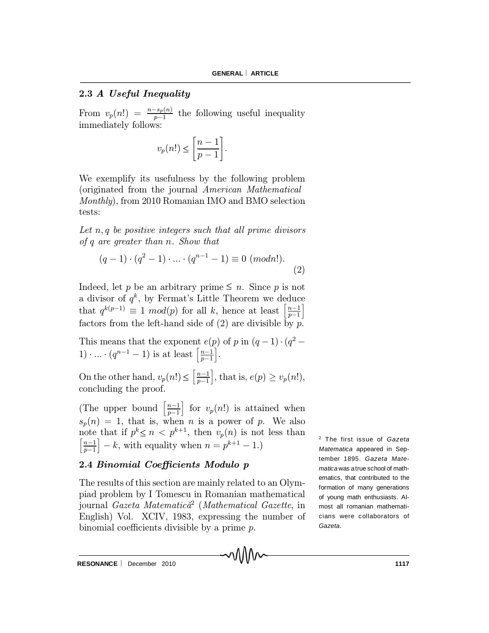# 2.3 A Useful Inequality

From  $v_p(n!) = \frac{n - s_p(n)}{n-1}$  $\frac{-s_p(n)}{p-1}$  the following useful inequality immediately follows:

$$
v_p(n!) \le \bigg[\frac{n-1}{p-1}\bigg].
$$

We exemplify its usefulness by the following problem (originated from the journal American Mathematical Monthly), from 2010 Romanian IMO and BMO selection tests:

Let  $n, q$  be positive integers such that all prime divisors of q are greater than n. Show that

$$
(q-1)\cdot (q^2-1)\cdot ...\cdot (q^{n-1}-1) \equiv 0 \ (modn!). \tag{2}
$$

Indeed, let p be an arbitrary prime  $\leq n$ . Since p is not a divisor of  $q^k$ , by Fermat's Little Theorem we deduce that  $q^{k(p-1)} \equiv 1 \mod(p)$  for all k, hence at least  $\left[\frac{n-1}{p-1}\right]$  $_{p-1}$ i factors from the left-hand side of  $(2)$  are divisible by p.

This means that the exponent  $e(p)$  of p in  $(q-1)\cdot(q^2 1) \cdot ... \cdot (q^{n-1} - 1)$  is at least  $\left[\frac{n-1}{p-1}\right]$  $_{p-1}$ i .

On the other hand,  $v_p(n!) \leq \left[\frac{n-1}{n-1}\right]$  $_{p-1}$  $\leq \left[\frac{n-1}{p-1}\right]$ , that is,  $e(p) \geq v_p(n!)$ , concluding the proof.

(The upper bound  $\left[\frac{n-1}{n-1}\right]$  $p-1$ of for  $v_p(n!)$  is attained when  $s_p(n) = 1$ , that is, when *n* is a power of *p*. We also note that if  $p^k \leq n \langle p^{k+1}, p^k \rangle$ , then  $v_p(n)$  is not less than  $\left\lceil \frac{n-1}{2} \right\rceil$  $_{p-1}$  $\Big] - k$ , with equality when  $n = p^{k+1} - 1$ .)

## 2.4 Binomial Coefficients Modulo p

The results of this section are mainly related to an Olympiad problem by I Tomescu in Romanian mathematical journal *Gazeta Matematica*<sup>2</sup> (*Mathematical Gazette*, in English) Vol. XCIV, 1983, expressing the number of binomial coefficients divisible by a prime  $p$ .

<sup>2</sup> The first issue of *Gazeta Matematica* appeared in September 1895. *Gazeta Matematica* was atrue school of mathematics, that contributed to the formation of many generations of young math enthusiasts. Almost all romanian mathematicians were collaborators of *Gazeta*.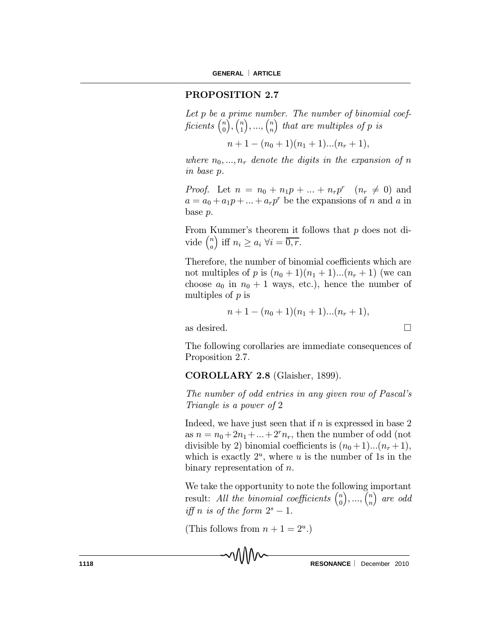# PROPOSITION 2.7

Let p be a prime number. The number of binomial coefficients  $\binom{n}{0}$ 0  $\int_1^n$ 1  $\left( \cdot \right)$ , ...,  $\left( \cdot \right)$ n  $\big)$  that are multiples of p is

$$
n+1-(n_0+1)(n_1+1)...(n_r+1),
$$

where  $n_0, ..., n_r$  denote the digits in the expansion of n in base p.

*Proof.* Let  $n = n_0 + n_1 p + ... + n_r p^r$   $(n_r \neq 0)$  and  $a = a_0 + a_1 p + \dots + a_r p^r$  be the expansions of n and a in base p.

From Kummer's theorem it follows that  $p$  does not divide  $\binom{n}{a}$ a ) iff  $n_i \geq a_i \,\,\forall i = \overline{0,r}$ .

Therefore, the number of binomial coefficients which are not multiples of p is  $(n_0 + 1)(n_1 + 1)...(n_r + 1)$  (we can choose  $a_0$  in  $n_0 + 1$  ways, etc.), hence the number of multiples of  $p$  is

$$
n+1-(n_0+1)(n_1+1)...(n_r+1),
$$

as desired.  $\Box$ 

The following corollaries are immediate consequences of Proposition 2.7.

## COROLLARY 2.8 (Glaisher, 1899).

The number of odd entries in any given row of Pascal's Triangle is a power of 2

Indeed, we have just seen that if  $n$  is expressed in base 2 as  $n = n_0 + 2n_1 + \dots + 2^r n_r$ , then the number of odd (not divisible by 2) binomial coefficients is  $(n_0+1)...(n_r+1)$ , which is exactly  $2^u$ , where u is the number of 1s in the binary representation of n.

We take the opportunity to note the following important result: All the binomial coefficients  $\binom{n}{0}$ 0  $\bigg), \ldots, \bigg\{ \begin{matrix} n \\ n \end{matrix}$ n ´ are odd iff *n* is of the form  $2^s - 1$ .

(This follows from  $n + 1 = 2^u$ .)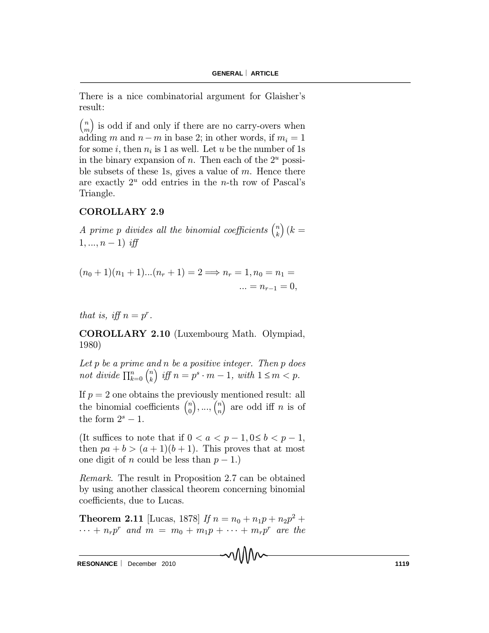There is a nice combinatorial argument for Glaisher's result:

 $\left( n\right)$ m ) is odd if and only if there are no carry-overs when adding m and  $n-m$  in base 2; in other words, if  $m_i = 1$ for some  $i$ , then  $n_i$  is 1 as well. Let  $u$  be the number of 1s in the binary expansion of  $n$ . Then each of the  $2^u$  possible subsets of these 1s, gives a value of  $m$ . Hence there are exactly  $2^u$  odd entries in the *n*-th row of Pascal's Triangle.

# COROLLARY 2.9

A prime p divides all the binomial coefficients  $\binom{n}{k}$ k  $(k=$  $1, ..., n - 1$ ) iff

 $(n_0 + 1)(n_1 + 1)...(n_r + 1) = 2 \Longrightarrow n_r = 1, n_0 = n_1 =$  $\ldots = n_{r-1} = 0,$ 

that is, if  $n = p^r$ .

COROLLARY 2.10 (Luxembourg Math. Olympiad, 1980)

Let  $p$  be a prime and  $n$  be a positive integer. Then  $p$  does not divide  $\prod_{k=0}^n$  $\left( n \right)$ k  $\int$  iff  $n = p^s \cdot m - 1$ , with  $1 \leq m < p$ .

If  $p = 2$  one obtains the previously mentioned result: all the binomial coefficients  $\binom{n}{0}$ 0  $\left( \cdot \right)$ , ...,  $\left( \cdot \right)$ n ) are odd iff  $n$  is of the form  $2^s - 1$ .

(It suffices to note that if  $0 < a < p - 1, 0 \le b < p - 1$ , then  $pa + b > (a + 1)(b + 1)$ . This proves that at most one digit of n could be less than  $p-1$ .

Remark. The result in Proposition 2.7 can be obtained by using another classical theorem concerning binomial coefficients, due to Lucas.

**Theorem 2.11** [Lucas, 1878] If  $n = n_0 + n_1p + n_2p^2 +$  $\cdots + n_r p^r$  and  $m = m_0 + m_1 p + \cdots + m_r p^r$  are the

**RESONANCE** | December 2010 **1119**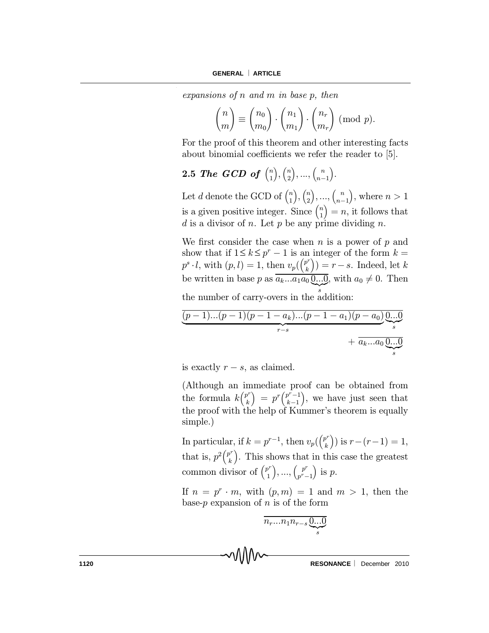expansions of n and m in base p, then

$$
\binom{n}{m} \equiv \binom{n_0}{m_0} \cdot \binom{n_1}{m_1} \cdot \binom{n_r}{m_r} \pmod{p}.
$$

For the proof of this theorem and other interesting facts about binomial coefficients we refer the reader to  $[5]$ .

#### $2.5$  The GCD of  $\binom{n}{1}$ 1  $\bigg), \bigg( \begin{matrix} n \\ 2 \end{matrix} \bigg)$ 2  $\left( \cdot, \ldots, \cdot \right)$  $n-1$ ´ :

Let d denote the GCD of  $\binom{n}{1}$ 1  $\bigg), \bigg( \begin{matrix} n \\ 2 \end{matrix} \bigg)$ 2  $\left( \cdot, \ldots, \cdot \right)$  $n-1$ ), where  $n > 1$ is a given positive integer. Since  $\binom{n}{1}$ 1  $= n$ , it follows that d is a divisor of n. Let  $p$  be any prime dividing n.

We first consider the case when  $n$  is a power of  $p$  and show that if  $1 \leq k \leq p^r - 1$  is an integer of the form  $k =$  $p^s \cdot l$ , with  $(p, l) = 1$ , then  $v_p({p^r \choose k)}$ k  $() = r - s$ . Indeed, let k be written in base p as  $\overline{a_k...a_1a_0\underbrace{0...0}}$ , with  $a_0 \neq 0$ . Then

the number of carry-overs in the addition:

$$
\underbrace{(p-1)...(p-1)(p-1-a_k)...(p-1-a_1)(p-a_0)}_{r-s} \underbrace{0...0}_{+ a_k... a_0} + \underbrace{0...0}_{s}
$$

is exactly  $r - s$ , as claimed.

(Although an immediate proof can be obtained from the formula  $k\binom{p^r}{k}$ k  $= p^r \binom{p^r-1}{k-1}$  $\frac{k-1}{2}$ ), we have just seen that the proof with the help of Kummer's theorem is equally simple.)

In particular, if  $k = p^{r-1}$ , then  $v_p({p^n_k})$ k ()) is  $r - (r - 1) = 1$ , that is,  $p^2 \binom{p^r}{k}$ k ). This shows that in this case the greatest common divisor of  $\binom{p^r}{1}$ 1  $\left( \cdot, p^r \right)$  $p^r-1$ ) is  $p$ .

If  $n = p^r \cdot m$ , with  $(p, m) = 1$  and  $m > 1$ , then the base- $p$  expansion of  $n$  is of the form

$$
n_r...n_1n_{r-s}\underbrace{0...0}_{s}
$$

**1120 RESONANCE** December 2010